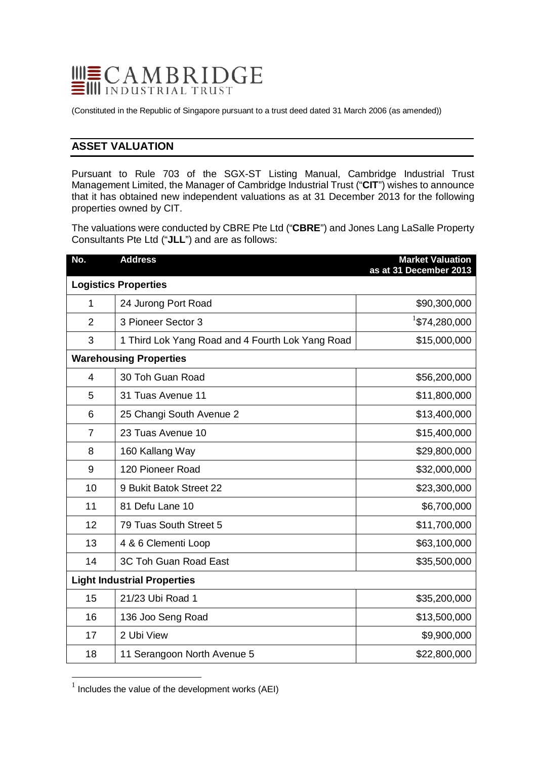

(Constituted in the Republic of Singapore pursuant to a trust deed dated 31 March 2006 (as amended))

# **ASSET VALUATION**

Pursuant to Rule 703 of the SGX-ST Listing Manual, Cambridge Industrial Trust Management Limited, the Manager of Cambridge Industrial Trust ("**CIT**") wishes to announce that it has obtained new independent valuations as at 31 December 2013 for the following properties owned by CIT.

The valuations were conducted by CBRE Pte Ltd ("**CBRE**") and Jones Lang LaSalle Property Consultants Pte Ltd ("**JLL**") and are as follows:

| No.                                | <b>Address</b>                                   | <b>Market Valuation</b><br>as at 31 December 2013 |  |
|------------------------------------|--------------------------------------------------|---------------------------------------------------|--|
| <b>Logistics Properties</b>        |                                                  |                                                   |  |
| 1                                  | 24 Jurong Port Road                              | \$90,300,000                                      |  |
| $\overline{2}$                     | 3 Pioneer Sector 3                               | $1$ \$74,280,000                                  |  |
| 3                                  | 1 Third Lok Yang Road and 4 Fourth Lok Yang Road | \$15,000,000                                      |  |
| <b>Warehousing Properties</b>      |                                                  |                                                   |  |
| $\overline{4}$                     | 30 Toh Guan Road                                 | \$56,200,000                                      |  |
| 5                                  | 31 Tuas Avenue 11                                | \$11,800,000                                      |  |
| 6                                  | 25 Changi South Avenue 2                         | \$13,400,000                                      |  |
| $\overline{7}$                     | 23 Tuas Avenue 10                                | \$15,400,000                                      |  |
| 8                                  | 160 Kallang Way                                  | \$29,800,000                                      |  |
| 9                                  | 120 Pioneer Road                                 | \$32,000,000                                      |  |
| 10                                 | 9 Bukit Batok Street 22                          | \$23,300,000                                      |  |
| 11                                 | 81 Defu Lane 10                                  | \$6,700,000                                       |  |
| 12                                 | 79 Tuas South Street 5                           | \$11,700,000                                      |  |
| 13                                 | 4 & 6 Clementi Loop                              | \$63,100,000                                      |  |
| 14                                 | 3C Toh Guan Road East                            | \$35,500,000                                      |  |
| <b>Light Industrial Properties</b> |                                                  |                                                   |  |
| 15                                 | 21/23 Ubi Road 1                                 | \$35,200,000                                      |  |
| 16                                 | 136 Joo Seng Road                                | \$13,500,000                                      |  |
| 17                                 | 2 Ubi View                                       | \$9,900,000                                       |  |
| 18                                 | 11 Serangoon North Avenue 5                      | \$22,800,000                                      |  |

<span id="page-0-0"></span> $1$  Includes the value of the development works (AEI)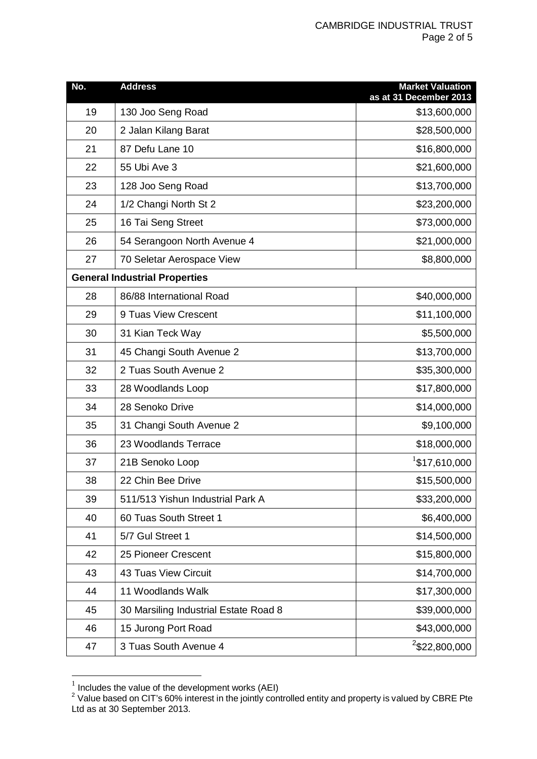| No.                                  | <b>Address</b>                        | <b>Market Valuation</b><br>as at 31 December 2013 |
|--------------------------------------|---------------------------------------|---------------------------------------------------|
| 19                                   | 130 Joo Seng Road                     | \$13,600,000                                      |
| 20                                   | 2 Jalan Kilang Barat                  | \$28,500,000                                      |
| 21                                   | 87 Defu Lane 10                       | \$16,800,000                                      |
| 22                                   | 55 Ubi Ave 3                          | \$21,600,000                                      |
| 23                                   | 128 Joo Seng Road                     | \$13,700,000                                      |
| 24                                   | 1/2 Changi North St 2                 | \$23,200,000                                      |
| 25                                   | 16 Tai Seng Street                    | \$73,000,000                                      |
| 26                                   | 54 Serangoon North Avenue 4           | \$21,000,000                                      |
| 27                                   | 70 Seletar Aerospace View             | \$8,800,000                                       |
| <b>General Industrial Properties</b> |                                       |                                                   |
| 28                                   | 86/88 International Road              | \$40,000,000                                      |
| 29                                   | 9 Tuas View Crescent                  | \$11,100,000                                      |
| 30                                   | 31 Kian Teck Way                      | \$5,500,000                                       |
| 31                                   | 45 Changi South Avenue 2              | \$13,700,000                                      |
| 32                                   | 2 Tuas South Avenue 2                 | \$35,300,000                                      |
| 33                                   | 28 Woodlands Loop                     | \$17,800,000                                      |
| 34                                   | 28 Senoko Drive                       | \$14,000,000                                      |
| 35                                   | 31 Changi South Avenue 2              | \$9,100,000                                       |
| 36                                   | 23 Woodlands Terrace                  | \$18,000,000                                      |
| 37                                   | 21B Senoko Loop                       | $1$ \$17,610,000                                  |
| 38                                   | 22 Chin Bee Drive                     | \$15,500,000                                      |
| 39                                   | 511/513 Yishun Industrial Park A      | \$33,200,000                                      |
| 40                                   | 60 Tuas South Street 1                | \$6,400,000                                       |
| 41                                   | 5/7 Gul Street 1                      | \$14,500,000                                      |
| 42                                   | 25 Pioneer Crescent                   | \$15,800,000                                      |
| 43                                   | <b>43 Tuas View Circuit</b>           | \$14,700,000                                      |
| 44                                   | 11 Woodlands Walk                     | \$17,300,000                                      |
| 45                                   | 30 Marsiling Industrial Estate Road 8 | \$39,000,000                                      |
| 46                                   | 15 Jurong Port Road                   | \$43,000,000                                      |
| 47                                   | 3 Tuas South Avenue 4                 | <sup>2</sup> \$22,800,000                         |

 $\frac{1}{1}$  Includes the value of the development works (AEI)

<span id="page-1-1"></span><span id="page-1-0"></span> Value based on CIT's 60% interest in the jointly controlled entity and property is valued by CBRE Pte Ltd as at 30 September 2013.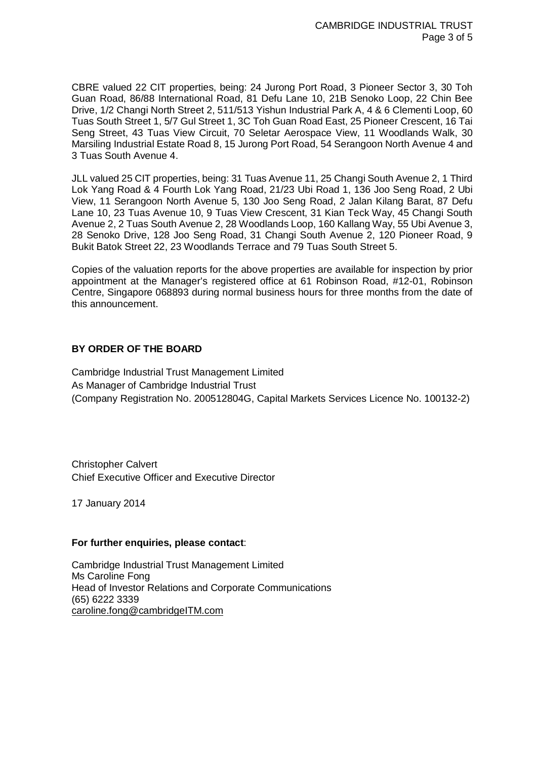CBRE valued 22 CIT properties, being: 24 Jurong Port Road, 3 Pioneer Sector 3, 30 Toh Guan Road, 86/88 International Road, 81 Defu Lane 10, 21B Senoko Loop, 22 Chin Bee Drive, 1/2 Changi North Street 2, 511/513 Yishun Industrial Park A, 4 & 6 Clementi Loop, 60 Tuas South Street 1, 5/7 Gul Street 1, 3C Toh Guan Road East, 25 Pioneer Crescent, 16 Tai Seng Street, 43 Tuas View Circuit, 70 Seletar Aerospace View, 11 Woodlands Walk, 30 Marsiling Industrial Estate Road 8, 15 Jurong Port Road, 54 Serangoon North Avenue 4 and 3 Tuas South Avenue 4.

JLL valued 25 CIT properties, being: 31 Tuas Avenue 11, 25 Changi South Avenue 2, 1 Third Lok Yang Road & 4 Fourth Lok Yang Road, 21/23 Ubi Road 1, 136 Joo Seng Road, 2 Ubi View, 11 Serangoon North Avenue 5, 130 Joo Seng Road, 2 Jalan Kilang Barat, 87 Defu Lane 10, 23 Tuas Avenue 10, 9 Tuas View Crescent, 31 Kian Teck Way, 45 Changi South Avenue 2, 2 Tuas South Avenue 2, 28 Woodlands Loop, 160 Kallang Way, 55 Ubi Avenue 3, 28 Senoko Drive, 128 Joo Seng Road, 31 Changi South Avenue 2, 120 Pioneer Road, 9 Bukit Batok Street 22, 23 Woodlands Terrace and 79 Tuas South Street 5.

Copies of the valuation reports for the above properties are available for inspection by prior appointment at the Manager's registered office at 61 Robinson Road, #12-01, Robinson Centre, Singapore 068893 during normal business hours for three months from the date of this announcement.

## **BY ORDER OF THE BOARD**

Cambridge Industrial Trust Management Limited As Manager of Cambridge Industrial Trust (Company Registration No. 200512804G, Capital Markets Services Licence No. 100132-2)

Christopher Calvert Chief Executive Officer and Executive Director

17 January 2014

### **For further enquiries, please contact**:

Cambridge Industrial Trust Management Limited Ms Caroline Fong Head of Investor Relations and Corporate Communications (65) 6222 3339 caroline.fong@cambridgeITM.com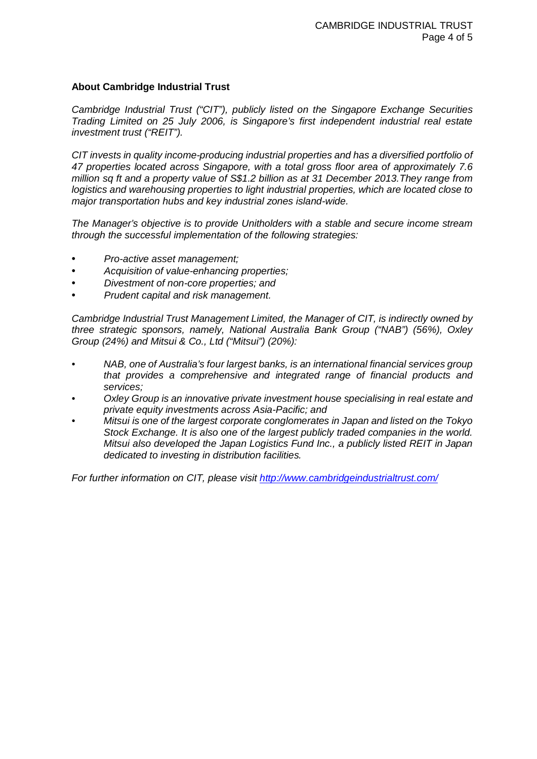### **About Cambridge Industrial Trust**

*Cambridge Industrial Trust ("CIT"), publicly listed on the Singapore Exchange Securities Trading Limited on 25 July 2006, is Singapore's first independent industrial real estate investment trust ("REIT").*

*CIT invests in quality income-producing industrial properties and has a diversified portfolio of 47 properties located across Singapore, with a total gross floor area of approximately 7.6 million sq ft and a property value of S\$1.2 billion as at 31 December 2013.They range from logistics and warehousing properties to light industrial properties, which are located close to major transportation hubs and key industrial zones island-wide.*

*The Manager's objective is to provide Unitholders with a stable and secure income stream through the successful implementation of the following strategies:*

- *Pro-active asset management;*
- *Acquisition of value-enhancing properties;*
- *Divestment of non-core properties; and*
- *Prudent capital and risk management.*

*Cambridge Industrial Trust Management Limited, the Manager of CIT, is indirectly owned by three strategic sponsors, namely, National Australia Bank Group ("NAB") (56%), Oxley Group (24%) and Mitsui & Co., Ltd ("Mitsui") (20%):*

- *• NAB, one of Australia's four largest banks, is an international financial services group that provides a comprehensive and integrated range of financial products and services;*
- *• Oxley Group is an innovative private investment house specialising in real estate and private equity investments across Asia-Pacific; and*
- *• Mitsui is one of the largest corporate conglomerates in Japan and listed on the Tokyo Stock Exchange. It is also one of the largest publicly traded companies in the world. Mitsui also developed the Japan Logistics Fund Inc., a publicly listed REIT in Japan dedicated to investing in distribution facilities.*

*For further information on CIT, please visit<http://www.cambridgeindustrialtrust.com/>*